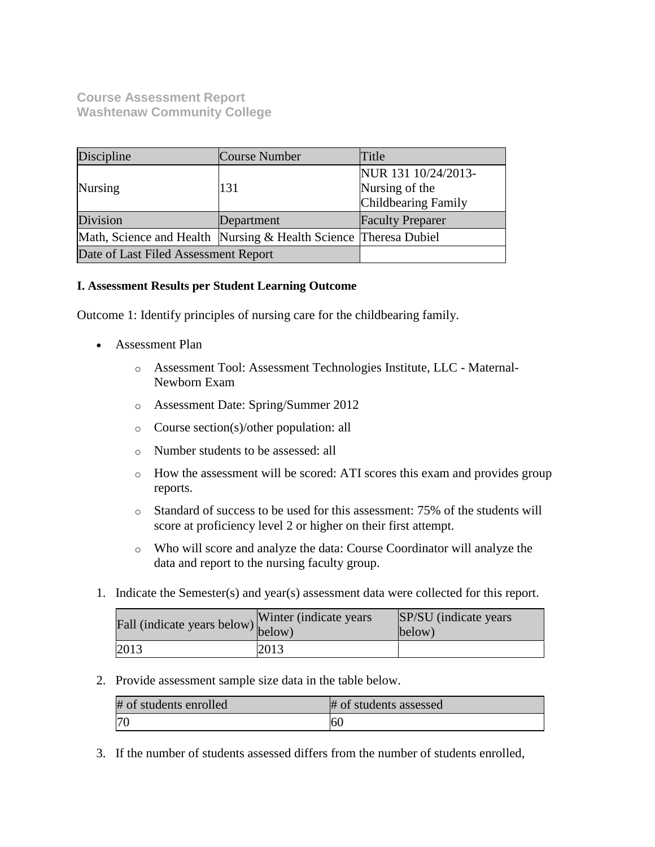**Course Assessment Report Washtenaw Community College**

| Discipline                                                       | Course Number | Title                   |
|------------------------------------------------------------------|---------------|-------------------------|
|                                                                  |               | NUR 131 10/24/2013-     |
| <b>Nursing</b>                                                   | 131           | Nursing of the          |
|                                                                  |               | Childbearing Family     |
| Division<br>Department                                           |               | <b>Faculty Preparer</b> |
| Math, Science and Health Nursing & Health Science Theresa Dubiel |               |                         |
| Date of Last Filed Assessment Report                             |               |                         |

## **I. Assessment Results per Student Learning Outcome**

Outcome 1: Identify principles of nursing care for the childbearing family.

- Assessment Plan
	- o Assessment Tool: Assessment Technologies Institute, LLC Maternal-Newborn Exam
	- o Assessment Date: Spring/Summer 2012
	- o Course section(s)/other population: all
	- o Number students to be assessed: all
	- o How the assessment will be scored: ATI scores this exam and provides group reports.
	- o Standard of success to be used for this assessment: 75% of the students will score at proficiency level 2 or higher on their first attempt.
	- o Who will score and analyze the data: Course Coordinator will analyze the data and report to the nursing faculty group.
- 1. Indicate the Semester(s) and year(s) assessment data were collected for this report.

| rall (indicate years below) below) | Winter (indicate years) | SP/SU (indicate years)<br>below) |
|------------------------------------|-------------------------|----------------------------------|
| 2013                               | 2013                    |                                  |

2. Provide assessment sample size data in the table below.

| # of students enrolled | # of students assessed |
|------------------------|------------------------|
| <sup>70</sup>          | 60                     |

3. If the number of students assessed differs from the number of students enrolled,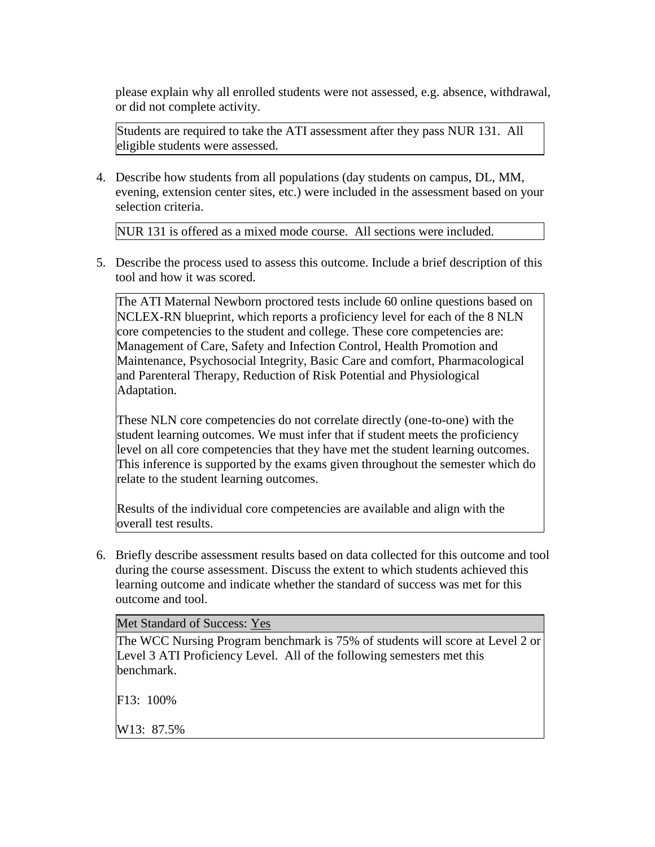please explain why all enrolled students were not assessed, e.g. absence, withdrawal, or did not complete activity.

Students are required to take the ATI assessment after they pass NUR 131. All eligible students were assessed.

4. Describe how students from all populations (day students on campus, DL, MM, evening, extension center sites, etc.) were included in the assessment based on your selection criteria.

NUR 131 is offered as a mixed mode course. All sections were included.

5. Describe the process used to assess this outcome. Include a brief description of this tool and how it was scored.

The ATI Maternal Newborn proctored tests include 60 online questions based on NCLEX-RN blueprint, which reports a proficiency level for each of the 8 NLN core competencies to the student and college. These core competencies are: Management of Care, Safety and Infection Control, Health Promotion and Maintenance, Psychosocial Integrity, Basic Care and comfort, Pharmacological and Parenteral Therapy, Reduction of Risk Potential and Physiological Adaptation.

These NLN core competencies do not correlate directly (one-to-one) with the student learning outcomes. We must infer that if student meets the proficiency level on all core competencies that they have met the student learning outcomes. This inference is supported by the exams given throughout the semester which do relate to the student learning outcomes.

Results of the individual core competencies are available and align with the overall test results.

6. Briefly describe assessment results based on data collected for this outcome and tool during the course assessment. Discuss the extent to which students achieved this learning outcome and indicate whether the standard of success was met for this outcome and tool.

Met Standard of Success: Yes

The WCC Nursing Program benchmark is 75% of students will score at Level 2 or Level 3 ATI Proficiency Level. All of the following semesters met this benchmark.

F13: 100%

W13: 87.5%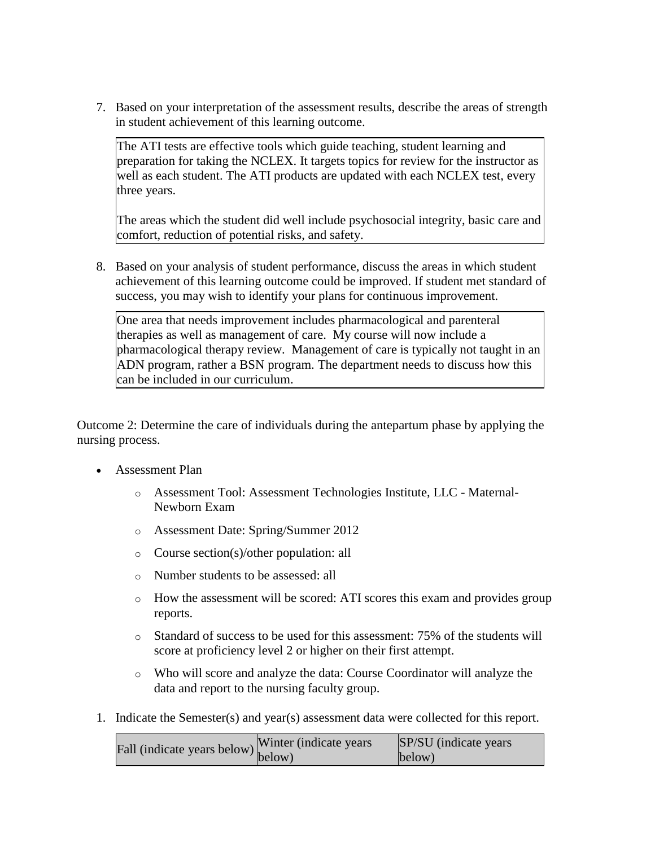7. Based on your interpretation of the assessment results, describe the areas of strength in student achievement of this learning outcome.

The ATI tests are effective tools which guide teaching, student learning and preparation for taking the NCLEX. It targets topics for review for the instructor as well as each student. The ATI products are updated with each NCLEX test, every three years.

The areas which the student did well include psychosocial integrity, basic care and comfort, reduction of potential risks, and safety.

8. Based on your analysis of student performance, discuss the areas in which student achievement of this learning outcome could be improved. If student met standard of success, you may wish to identify your plans for continuous improvement.

One area that needs improvement includes pharmacological and parenteral therapies as well as management of care. My course will now include a pharmacological therapy review. Management of care is typically not taught in an ADN program, rather a BSN program. The department needs to discuss how this can be included in our curriculum.

Outcome 2: Determine the care of individuals during the antepartum phase by applying the nursing process.

- Assessment Plan
	- o Assessment Tool: Assessment Technologies Institute, LLC Maternal-Newborn Exam
	- o Assessment Date: Spring/Summer 2012
	- o Course section(s)/other population: all
	- o Number students to be assessed: all
	- o How the assessment will be scored: ATI scores this exam and provides group reports.
	- o Standard of success to be used for this assessment: 75% of the students will score at proficiency level 2 or higher on their first attempt.
	- o Who will score and analyze the data: Course Coordinator will analyze the data and report to the nursing faculty group.
- 1. Indicate the Semester(s) and year(s) assessment data were collected for this report.

|                                                                        | Winter (indicate years) | SP/SU (indicate years) |
|------------------------------------------------------------------------|-------------------------|------------------------|
| Fall (indicate years below) $\begin{bmatrix}$ <sup>w muer</sup> below) |                         | below)                 |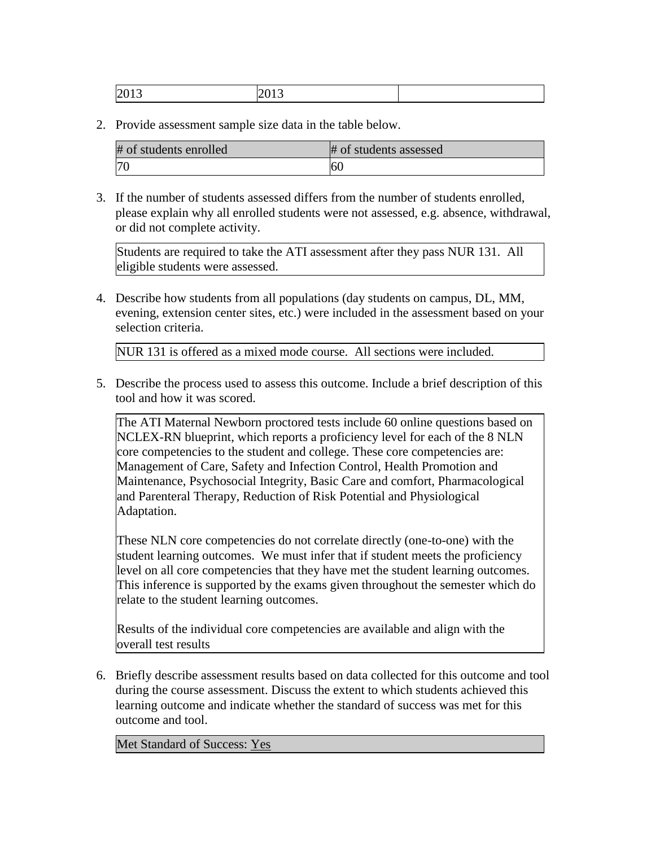| # of students enrolled | # of students assessed |
|------------------------|------------------------|
| 70                     | 60                     |

3. If the number of students assessed differs from the number of students enrolled, please explain why all enrolled students were not assessed, e.g. absence, withdrawal, or did not complete activity.

Students are required to take the ATI assessment after they pass NUR 131. All eligible students were assessed.

4. Describe how students from all populations (day students on campus, DL, MM, evening, extension center sites, etc.) were included in the assessment based on your selection criteria.

NUR 131 is offered as a mixed mode course. All sections were included.

5. Describe the process used to assess this outcome. Include a brief description of this tool and how it was scored.

The ATI Maternal Newborn proctored tests include 60 online questions based on NCLEX-RN blueprint, which reports a proficiency level for each of the 8 NLN core competencies to the student and college. These core competencies are: Management of Care, Safety and Infection Control, Health Promotion and Maintenance, Psychosocial Integrity, Basic Care and comfort, Pharmacological and Parenteral Therapy, Reduction of Risk Potential and Physiological Adaptation.

These NLN core competencies do not correlate directly (one-to-one) with the student learning outcomes. We must infer that if student meets the proficiency level on all core competencies that they have met the student learning outcomes. This inference is supported by the exams given throughout the semester which do relate to the student learning outcomes.

Results of the individual core competencies are available and align with the overall test results

6. Briefly describe assessment results based on data collected for this outcome and tool during the course assessment. Discuss the extent to which students achieved this learning outcome and indicate whether the standard of success was met for this outcome and tool.

Met Standard of Success: Yes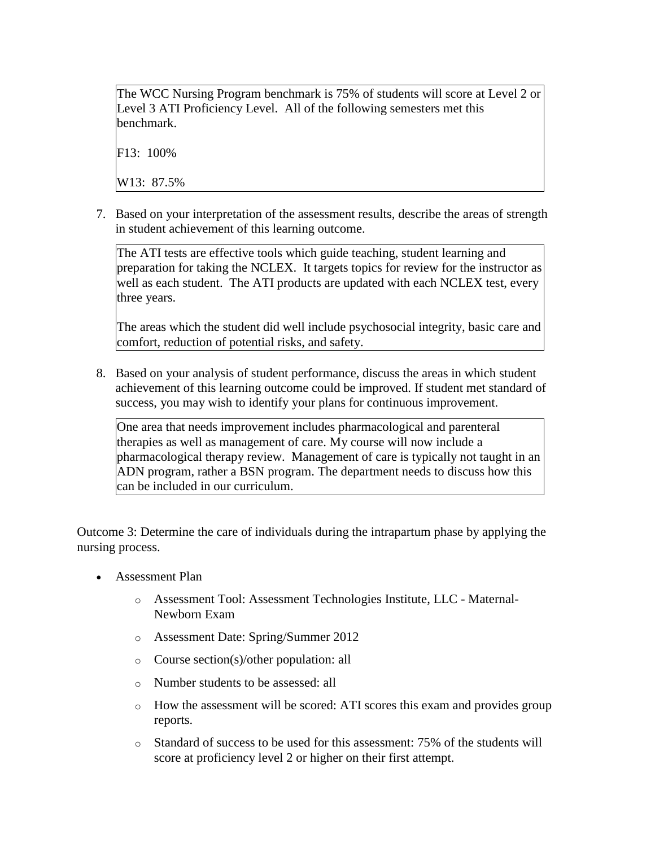The WCC Nursing Program benchmark is 75% of students will score at Level 2 or Level 3 ATI Proficiency Level. All of the following semesters met this benchmark.

F13: 100%

W13: 87.5%

7. Based on your interpretation of the assessment results, describe the areas of strength in student achievement of this learning outcome.

The ATI tests are effective tools which guide teaching, student learning and preparation for taking the NCLEX. It targets topics for review for the instructor as well as each student. The ATI products are updated with each NCLEX test, every three years.

The areas which the student did well include psychosocial integrity, basic care and comfort, reduction of potential risks, and safety.

8. Based on your analysis of student performance, discuss the areas in which student achievement of this learning outcome could be improved. If student met standard of success, you may wish to identify your plans for continuous improvement.

One area that needs improvement includes pharmacological and parenteral therapies as well as management of care. My course will now include a pharmacological therapy review. Management of care is typically not taught in an ADN program, rather a BSN program. The department needs to discuss how this can be included in our curriculum.

Outcome 3: Determine the care of individuals during the intrapartum phase by applying the nursing process.

- Assessment Plan
	- o Assessment Tool: Assessment Technologies Institute, LLC Maternal-Newborn Exam
	- o Assessment Date: Spring/Summer 2012
	- o Course section(s)/other population: all
	- o Number students to be assessed: all
	- o How the assessment will be scored: ATI scores this exam and provides group reports.
	- $\circ$  Standard of success to be used for this assessment: 75% of the students will score at proficiency level 2 or higher on their first attempt.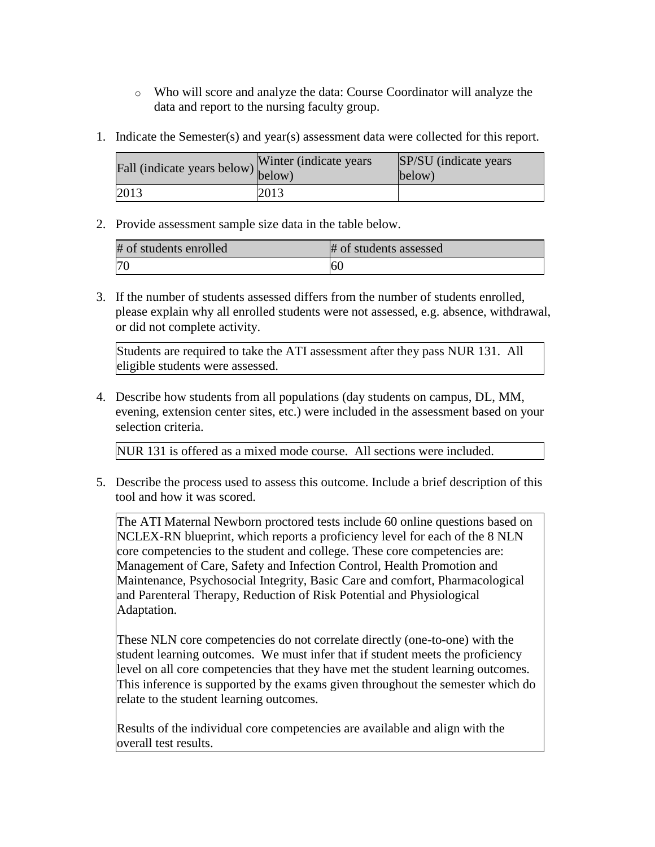- o Who will score and analyze the data: Course Coordinator will analyze the data and report to the nursing faculty group.
- 1. Indicate the Semester(s) and year(s) assessment data were collected for this report.

| Fall (indicate years below) below) | Winter (indicate years) | SP/SU (indicate years)<br>below) |
|------------------------------------|-------------------------|----------------------------------|
| 2013                               | 2013                    |                                  |

| # of students enrolled | # of students assessed |
|------------------------|------------------------|
|                        |                        |

3. If the number of students assessed differs from the number of students enrolled, please explain why all enrolled students were not assessed, e.g. absence, withdrawal, or did not complete activity.

Students are required to take the ATI assessment after they pass NUR 131. All eligible students were assessed.

4. Describe how students from all populations (day students on campus, DL, MM, evening, extension center sites, etc.) were included in the assessment based on your selection criteria.

NUR 131 is offered as a mixed mode course. All sections were included.

5. Describe the process used to assess this outcome. Include a brief description of this tool and how it was scored.

The ATI Maternal Newborn proctored tests include 60 online questions based on NCLEX-RN blueprint, which reports a proficiency level for each of the 8 NLN core competencies to the student and college. These core competencies are: Management of Care, Safety and Infection Control, Health Promotion and Maintenance, Psychosocial Integrity, Basic Care and comfort, Pharmacological and Parenteral Therapy, Reduction of Risk Potential and Physiological Adaptation.

These NLN core competencies do not correlate directly (one-to-one) with the student learning outcomes. We must infer that if student meets the proficiency level on all core competencies that they have met the student learning outcomes. This inference is supported by the exams given throughout the semester which do relate to the student learning outcomes.

Results of the individual core competencies are available and align with the overall test results.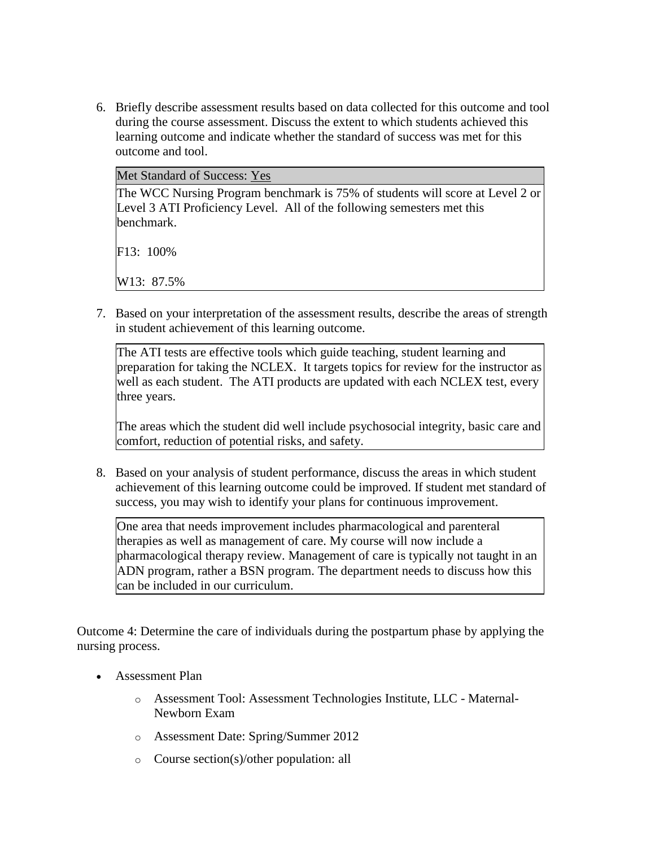6. Briefly describe assessment results based on data collected for this outcome and tool during the course assessment. Discuss the extent to which students achieved this learning outcome and indicate whether the standard of success was met for this outcome and tool.

|  |  |  |  | <b>Met Standard of Success: Yes</b> |  |
|--|--|--|--|-------------------------------------|--|
|--|--|--|--|-------------------------------------|--|

The WCC Nursing Program benchmark is 75% of students will score at Level 2 or Level 3 ATI Proficiency Level. All of the following semesters met this benchmark.

F13: 100%

W13: 87.5%

7. Based on your interpretation of the assessment results, describe the areas of strength in student achievement of this learning outcome.

The ATI tests are effective tools which guide teaching, student learning and preparation for taking the NCLEX. It targets topics for review for the instructor as well as each student. The ATI products are updated with each NCLEX test, every three years.

The areas which the student did well include psychosocial integrity, basic care and comfort, reduction of potential risks, and safety.

8. Based on your analysis of student performance, discuss the areas in which student achievement of this learning outcome could be improved. If student met standard of success, you may wish to identify your plans for continuous improvement.

One area that needs improvement includes pharmacological and parenteral therapies as well as management of care. My course will now include a pharmacological therapy review. Management of care is typically not taught in an ADN program, rather a BSN program. The department needs to discuss how this can be included in our curriculum.

Outcome 4: Determine the care of individuals during the postpartum phase by applying the nursing process.

- Assessment Plan
	- o Assessment Tool: Assessment Technologies Institute, LLC Maternal-Newborn Exam
	- o Assessment Date: Spring/Summer 2012
	- o Course section(s)/other population: all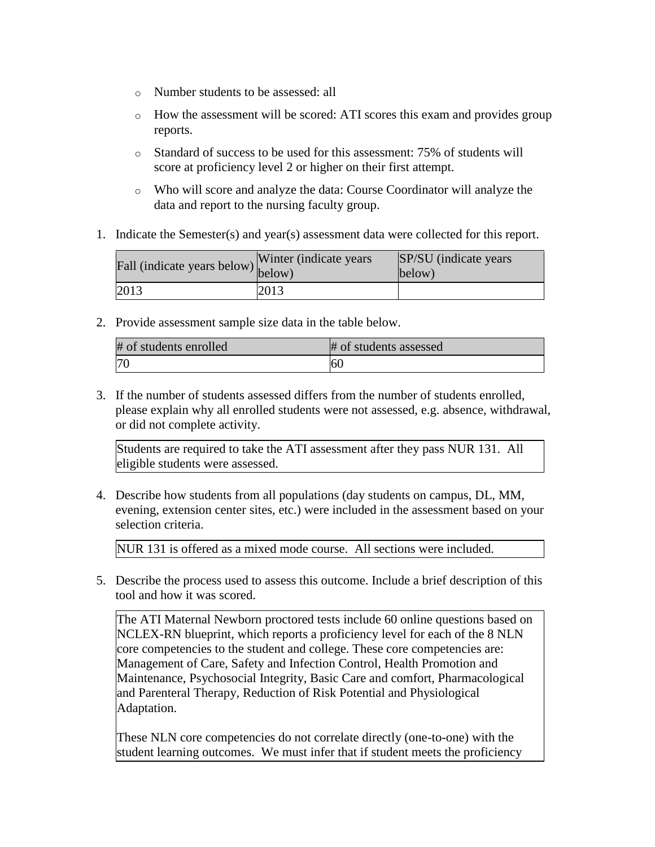- o Number students to be assessed: all
- o How the assessment will be scored: ATI scores this exam and provides group reports.
- o Standard of success to be used for this assessment: 75% of students will score at proficiency level 2 or higher on their first attempt.
- o Who will score and analyze the data: Course Coordinator will analyze the data and report to the nursing faculty group.
- 1. Indicate the Semester(s) and year(s) assessment data were collected for this report.

| Fall (indicate years below) below) | Winter (indicate years) | SP/SU (indicate years)<br>below) |
|------------------------------------|-------------------------|----------------------------------|
| 2013                               | 2013                    |                                  |

| # of students enrolled | # of students assessed |
|------------------------|------------------------|
| 70                     | 60                     |

3. If the number of students assessed differs from the number of students enrolled, please explain why all enrolled students were not assessed, e.g. absence, withdrawal, or did not complete activity.

Students are required to take the ATI assessment after they pass NUR 131. All eligible students were assessed.

4. Describe how students from all populations (day students on campus, DL, MM, evening, extension center sites, etc.) were included in the assessment based on your selection criteria.

NUR 131 is offered as a mixed mode course. All sections were included.

5. Describe the process used to assess this outcome. Include a brief description of this tool and how it was scored.

The ATI Maternal Newborn proctored tests include 60 online questions based on NCLEX-RN blueprint, which reports a proficiency level for each of the 8 NLN core competencies to the student and college. These core competencies are: Management of Care, Safety and Infection Control, Health Promotion and Maintenance, Psychosocial Integrity, Basic Care and comfort, Pharmacological and Parenteral Therapy, Reduction of Risk Potential and Physiological Adaptation.

These NLN core competencies do not correlate directly (one-to-one) with the student learning outcomes. We must infer that if student meets the proficiency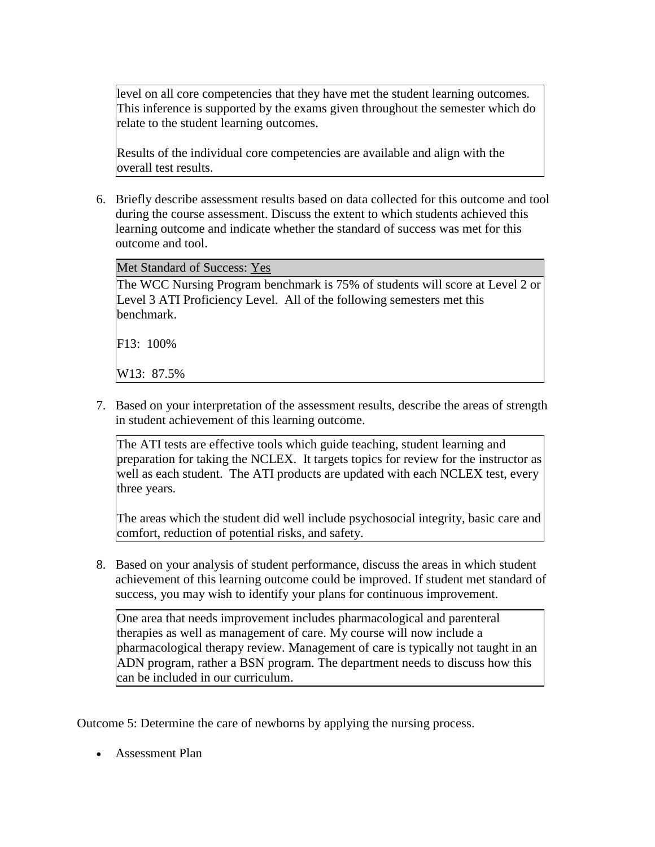level on all core competencies that they have met the student learning outcomes. This inference is supported by the exams given throughout the semester which do relate to the student learning outcomes.

Results of the individual core competencies are available and align with the overall test results.

6. Briefly describe assessment results based on data collected for this outcome and tool during the course assessment. Discuss the extent to which students achieved this learning outcome and indicate whether the standard of success was met for this outcome and tool.

Met Standard of Success: Yes

The WCC Nursing Program benchmark is 75% of students will score at Level 2 or Level 3 ATI Proficiency Level. All of the following semesters met this benchmark.

F13: 100%

W13: 87.5%

7. Based on your interpretation of the assessment results, describe the areas of strength in student achievement of this learning outcome.

The ATI tests are effective tools which guide teaching, student learning and preparation for taking the NCLEX. It targets topics for review for the instructor as well as each student. The ATI products are updated with each NCLEX test, every three years.

The areas which the student did well include psychosocial integrity, basic care and comfort, reduction of potential risks, and safety.

8. Based on your analysis of student performance, discuss the areas in which student achievement of this learning outcome could be improved. If student met standard of success, you may wish to identify your plans for continuous improvement.

One area that needs improvement includes pharmacological and parenteral therapies as well as management of care. My course will now include a pharmacological therapy review. Management of care is typically not taught in an ADN program, rather a BSN program. The department needs to discuss how this can be included in our curriculum.

Outcome 5: Determine the care of newborns by applying the nursing process.

Assessment Plan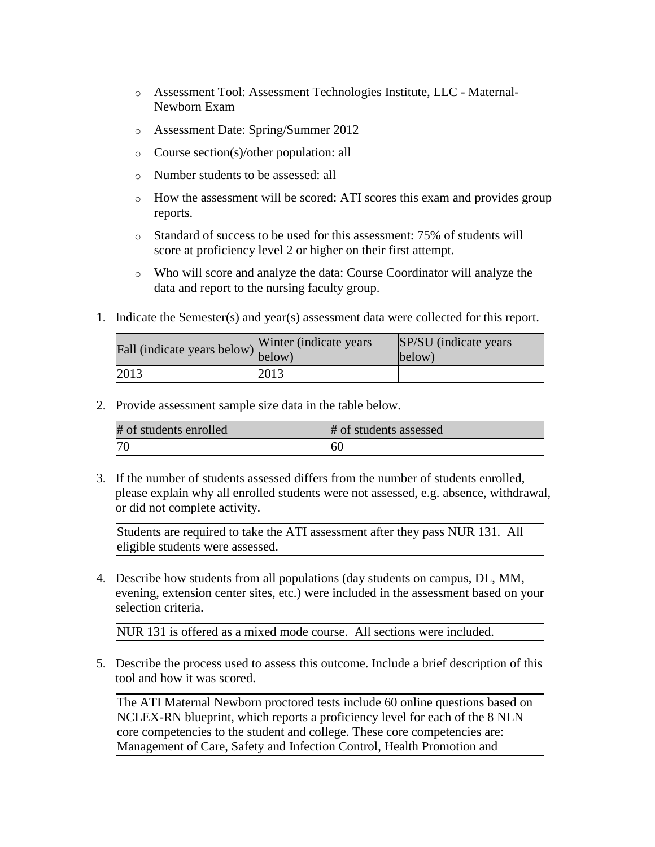- o Assessment Tool: Assessment Technologies Institute, LLC Maternal-Newborn Exam
- o Assessment Date: Spring/Summer 2012
- o Course section(s)/other population: all
- o Number students to be assessed: all
- $\circ$  How the assessment will be scored: ATI scores this exam and provides group reports.
- o Standard of success to be used for this assessment: 75% of students will score at proficiency level 2 or higher on their first attempt.
- o Who will score and analyze the data: Course Coordinator will analyze the data and report to the nursing faculty group.
- 1. Indicate the Semester(s) and year(s) assessment data were collected for this report.

| Fall (indicate years below) below) | Winter (indicate years) | SP/SU (indicate years)<br>below) |
|------------------------------------|-------------------------|----------------------------------|
| 2013                               | 2013                    |                                  |

| # of students enrolled | # of students assessed |
|------------------------|------------------------|
| 70                     | 60                     |

3. If the number of students assessed differs from the number of students enrolled, please explain why all enrolled students were not assessed, e.g. absence, withdrawal, or did not complete activity.

Students are required to take the ATI assessment after they pass NUR 131. All eligible students were assessed.

4. Describe how students from all populations (day students on campus, DL, MM, evening, extension center sites, etc.) were included in the assessment based on your selection criteria.

NUR 131 is offered as a mixed mode course. All sections were included.

5. Describe the process used to assess this outcome. Include a brief description of this tool and how it was scored.

The ATI Maternal Newborn proctored tests include 60 online questions based on NCLEX-RN blueprint, which reports a proficiency level for each of the 8 NLN core competencies to the student and college. These core competencies are: Management of Care, Safety and Infection Control, Health Promotion and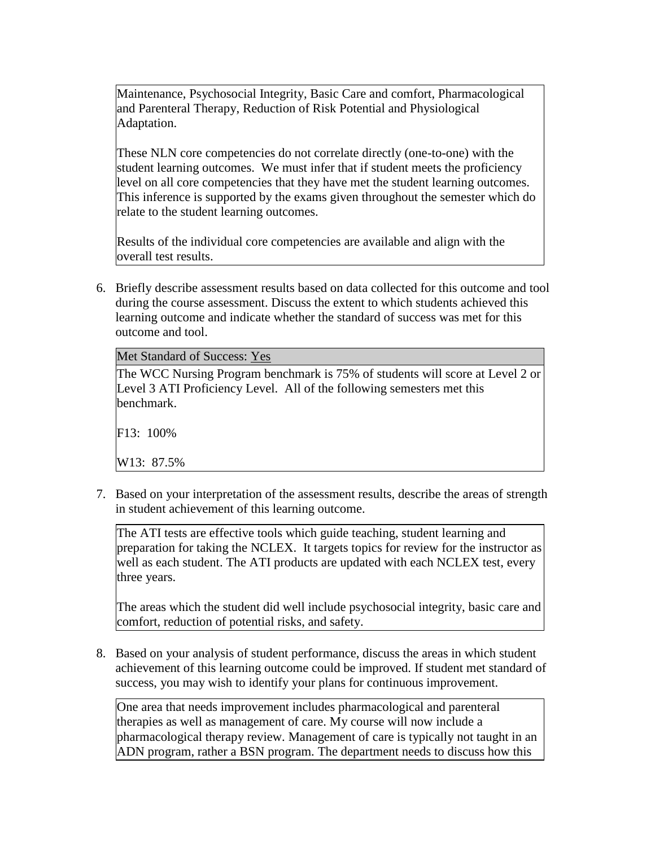Maintenance, Psychosocial Integrity, Basic Care and comfort, Pharmacological and Parenteral Therapy, Reduction of Risk Potential and Physiological Adaptation.

These NLN core competencies do not correlate directly (one-to-one) with the student learning outcomes. We must infer that if student meets the proficiency level on all core competencies that they have met the student learning outcomes. This inference is supported by the exams given throughout the semester which do relate to the student learning outcomes.

Results of the individual core competencies are available and align with the overall test results.

6. Briefly describe assessment results based on data collected for this outcome and tool during the course assessment. Discuss the extent to which students achieved this learning outcome and indicate whether the standard of success was met for this outcome and tool.

| Met Standard of Success: Yes                                                                                                                                          |
|-----------------------------------------------------------------------------------------------------------------------------------------------------------------------|
| The WCC Nursing Program benchmark is 75% of students will score at Level 2 or<br>Level 3 ATI Proficiency Level. All of the following semesters met this<br>benchmark. |
| $F13: 100\%$                                                                                                                                                          |
| W13: 87.5%                                                                                                                                                            |

7. Based on your interpretation of the assessment results, describe the areas of strength in student achievement of this learning outcome.

The ATI tests are effective tools which guide teaching, student learning and preparation for taking the NCLEX. It targets topics for review for the instructor as well as each student. The ATI products are updated with each NCLEX test, every three years.

The areas which the student did well include psychosocial integrity, basic care and comfort, reduction of potential risks, and safety.

8. Based on your analysis of student performance, discuss the areas in which student achievement of this learning outcome could be improved. If student met standard of success, you may wish to identify your plans for continuous improvement.

One area that needs improvement includes pharmacological and parenteral therapies as well as management of care. My course will now include a pharmacological therapy review. Management of care is typically not taught in an ADN program, rather a BSN program. The department needs to discuss how this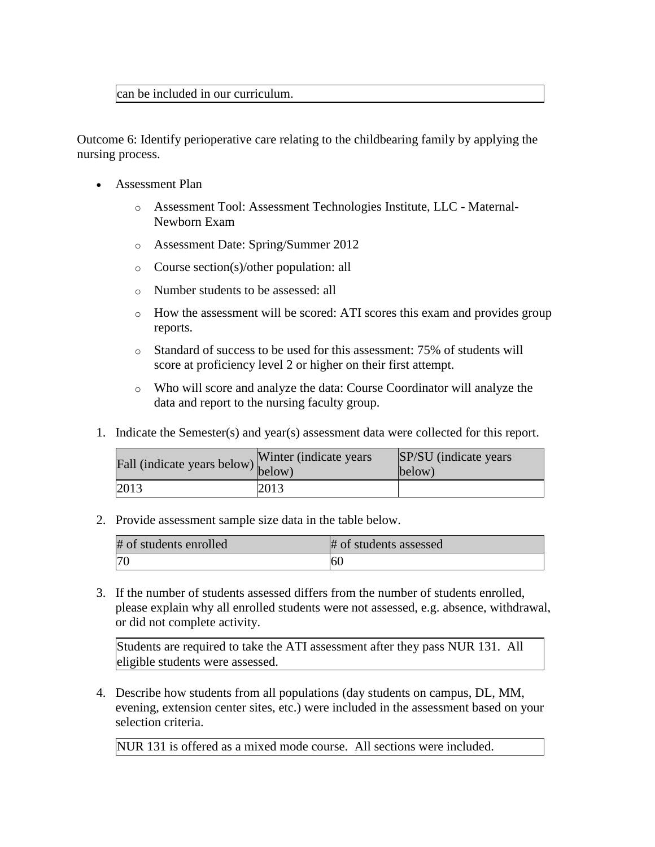## can be included in our curriculum.

Outcome 6: Identify perioperative care relating to the childbearing family by applying the nursing process.

- Assessment Plan
	- o Assessment Tool: Assessment Technologies Institute, LLC Maternal-Newborn Exam
	- o Assessment Date: Spring/Summer 2012
	- o Course section(s)/other population: all
	- o Number students to be assessed: all
	- $\circ$  How the assessment will be scored: ATI scores this exam and provides group reports.
	- o Standard of success to be used for this assessment: 75% of students will score at proficiency level 2 or higher on their first attempt.
	- o Who will score and analyze the data: Course Coordinator will analyze the data and report to the nursing faculty group.
- 1. Indicate the Semester(s) and year(s) assessment data were collected for this report.

| Fall (indicate years below) below) | Winter (indicate years) | SP/SU (indicate years)<br>below) |
|------------------------------------|-------------------------|----------------------------------|
| 2013                               | 2013                    |                                  |

2. Provide assessment sample size data in the table below.

| # of students enrolled | # of students assessed |
|------------------------|------------------------|
|                        | 60                     |

3. If the number of students assessed differs from the number of students enrolled, please explain why all enrolled students were not assessed, e.g. absence, withdrawal, or did not complete activity.

Students are required to take the ATI assessment after they pass NUR 131. All eligible students were assessed.

4. Describe how students from all populations (day students on campus, DL, MM, evening, extension center sites, etc.) were included in the assessment based on your selection criteria.

NUR 131 is offered as a mixed mode course. All sections were included.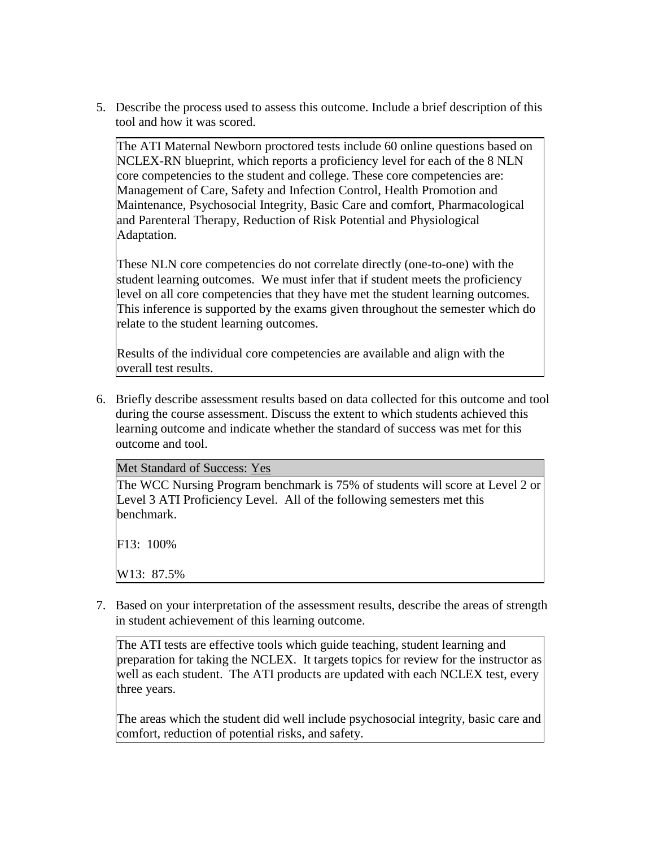5. Describe the process used to assess this outcome. Include a brief description of this tool and how it was scored.

The ATI Maternal Newborn proctored tests include 60 online questions based on NCLEX-RN blueprint, which reports a proficiency level for each of the 8 NLN core competencies to the student and college. These core competencies are: Management of Care, Safety and Infection Control, Health Promotion and Maintenance, Psychosocial Integrity, Basic Care and comfort, Pharmacological and Parenteral Therapy, Reduction of Risk Potential and Physiological Adaptation.

These NLN core competencies do not correlate directly (one-to-one) with the student learning outcomes. We must infer that if student meets the proficiency level on all core competencies that they have met the student learning outcomes. This inference is supported by the exams given throughout the semester which do relate to the student learning outcomes.

Results of the individual core competencies are available and align with the overall test results.

6. Briefly describe assessment results based on data collected for this outcome and tool during the course assessment. Discuss the extent to which students achieved this learning outcome and indicate whether the standard of success was met for this outcome and tool.

Met Standard of Success: Yes

The WCC Nursing Program benchmark is 75% of students will score at Level 2 or Level 3 ATI Proficiency Level. All of the following semesters met this benchmark.

F13: 100%

W13: 87.5%

7. Based on your interpretation of the assessment results, describe the areas of strength in student achievement of this learning outcome.

The ATI tests are effective tools which guide teaching, student learning and preparation for taking the NCLEX. It targets topics for review for the instructor as well as each student. The ATI products are updated with each NCLEX test, every three years.

The areas which the student did well include psychosocial integrity, basic care and comfort, reduction of potential risks, and safety.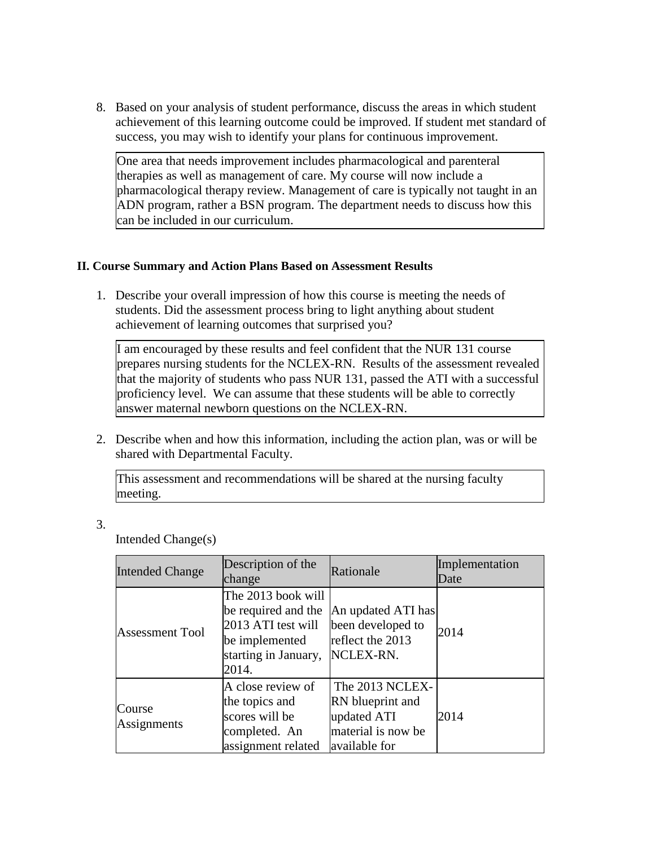8. Based on your analysis of student performance, discuss the areas in which student achievement of this learning outcome could be improved. If student met standard of success, you may wish to identify your plans for continuous improvement.

One area that needs improvement includes pharmacological and parenteral therapies as well as management of care. My course will now include a pharmacological therapy review. Management of care is typically not taught in an ADN program, rather a BSN program. The department needs to discuss how this can be included in our curriculum.

## **II. Course Summary and Action Plans Based on Assessment Results**

1. Describe your overall impression of how this course is meeting the needs of students. Did the assessment process bring to light anything about student achievement of learning outcomes that surprised you?

I am encouraged by these results and feel confident that the NUR 131 course prepares nursing students for the NCLEX-RN. Results of the assessment revealed that the majority of students who pass NUR 131, passed the ATI with a successful proficiency level. We can assume that these students will be able to correctly answer maternal newborn questions on the NCLEX-RN.

2. Describe when and how this information, including the action plan, was or will be shared with Departmental Faculty.

This assessment and recommendations will be shared at the nursing faculty meeting.

3.

Intended Change(s)

| <b>Intended Change</b>       | Description of the<br>change                                                                                       | Rationale                                                                                 | Implementation<br>Date |
|------------------------------|--------------------------------------------------------------------------------------------------------------------|-------------------------------------------------------------------------------------------|------------------------|
| <b>Assessment Tool</b>       | The 2013 book will<br>be required and the<br>2013 ATI test will<br>be implemented<br>starting in January,<br>2014. | An updated ATI has<br>been developed to<br>reflect the 2013<br>NCLEX-RN.                  | 2014                   |
| <b>Course</b><br>Assignments | A close review of<br>the topics and<br>scores will be<br>completed. An<br>assignment related                       | The 2013 NCLEX-<br>RN blueprint and<br>updated ATI<br>material is now be<br>available for | 2014                   |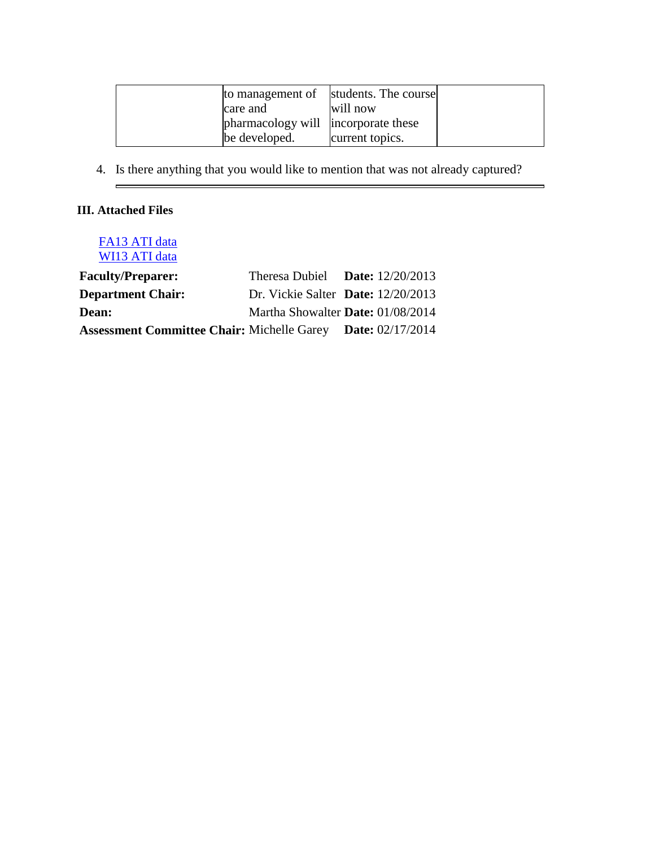|                                     | to management of students. The course |  |
|-------------------------------------|---------------------------------------|--|
| care and                            | will now                              |  |
| pharmacology will incorporate these |                                       |  |
| be developed.                       | current topics.                       |  |

 $\overline{\phantom{0}}$ 

4. Is there anything that you would like to mention that was not already captured?

# **III. Attached Files**

 $\blacksquare$ 

# [FA13 ATI data](documents/NUR%20131%20F13%20Maternal%20Newborn%20ATI.pdf) [WI13 ATI data](documents/NUR%20131%20W13%20Maternal%20Newborn%20ATI.pdf)

| <b>Faculty/Preparer:</b>                                           | Theresa Dubiel Date: $12/20/2013$    |  |
|--------------------------------------------------------------------|--------------------------------------|--|
| <b>Department Chair:</b>                                           | Dr. Vickie Salter Date: $12/20/2013$ |  |
| <b>Dean:</b>                                                       | Martha Showalter Date: 01/08/2014    |  |
| <b>Assessment Committee Chair: Michelle Garey Date: 02/17/2014</b> |                                      |  |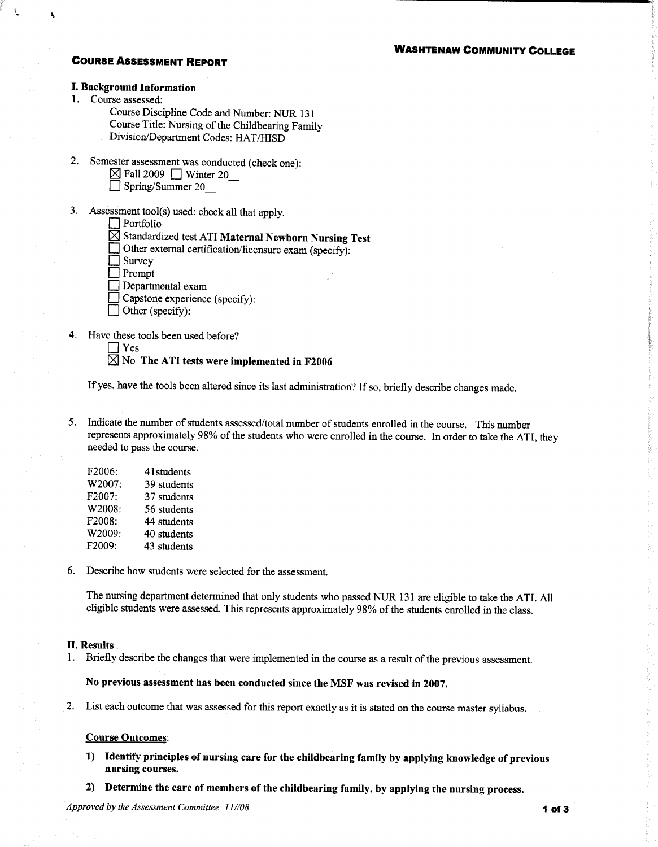### **WASHTENAW COMMUNITY COLLEGE**

### **COURSE ASSESSMENT REPORT**

## **I. Background Information**

1. Course assessed:

Course Discipline Code and Number: NUR 131 Course Title: Nursing of the Childbearing Family Division/Department Codes: HAT/HISD

- 2. Semester assessment was conducted (check one):
	- $\boxtimes$  Fall 2009  $\Box$  Winter 20
	- $\Box$  Spring/Summer 20
- 3. Assessment tool(s) used: check all that apply.
	- $\Box$  Portfolio
	- $\boxtimes$  Standardized test ATI Maternal Newborn Nursing Test
		- Other external certification/licensure exam (specify):
	- Survey
	- $\blacksquare$  Prompt
	- Departmental exam
	- $\Box$  Capstone experience (specify):
	- $\Box$  Other (specify):
- 4. Have these tools been used before?

 $\Box$  Yes

## $\boxtimes$  No The ATI tests were implemented in F2006

If yes, have the tools been altered since its last administration? If so, briefly describe changes made.

5. Indicate the number of students assessed/total number of students enrolled in the course. This number represents approximately 98% of the students who were enrolled in the course. In order to take the ATI, they needed to pass the course.

| F2006: | 41 students |
|--------|-------------|
| W2007: | 39 students |
| F2007: | 37 students |
| W2008: | 56 students |
| F2008: | 44 students |
| W2009: | 40 students |
| F2009: | 43 students |

6. Describe how students were selected for the assessment.

The nursing department determined that only students who passed NUR 131 are eligible to take the ATI. All eligible students were assessed. This represents approximately 98% of the students enrolled in the class.

#### **II. Results**

1. Briefly describe the changes that were implemented in the course as a result of the previous assessment.

#### No previous assessment has been conducted since the MSF was revised in 2007.

2. List each outcome that was assessed for this report exactly as it is stated on the course master syllabus.

### **Course Outcomes:**

- 1) Identify principles of nursing care for the childbearing family by applying knowledge of previous nursing courses.
- 2) Determine the care of members of the childbearing family, by applying the nursing process.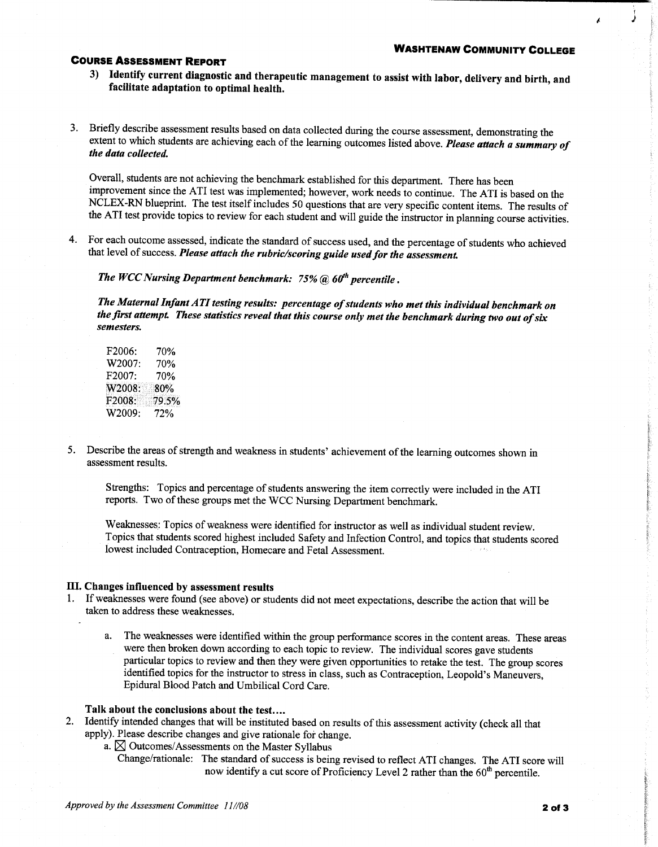### **COURSE ASSESSMENT REPORT**

- 3) Identify current diagnostic and therapeutic management to assist with labor, delivery and birth, and facilitate adaptation to optimal health.
- 3. Briefly describe assessment results based on data collected during the course assessment, demonstrating the extent to which students are achieving each of the learning outcomes listed above. Please attach a summary of the data collected.

Overall, students are not achieving the benchmark established for this department. There has been improvement since the ATI test was implemented; however, work needs to continue. The ATI is based on the NCLEX-RN blueprint. The test itself includes 50 questions that are very specific content items. The results of the ATI test provide topics to review for each student and will guide the instructor in planning course activities.

4. For each outcome assessed, indicate the standard of success used, and the percentage of students who achieved that level of success. Please attach the rubric/scoring guide used for the assessment.

The WCC Nursing Department benchmark:  $75%$  (a)  $60<sup>th</sup>$  percentile.

The Maternal Infant ATI testing results: percentage of students who met this individual benchmark on the first attempt. These statistics reveal that this course only met the benchmark during two out of six semesters.

- F2006: 70% W2007: 70% F2007: 70% W2008: 80% F2008: 79.5% W2009: 72%
- 5. Describe the areas of strength and weakness in students' achievement of the learning outcomes shown in assessment results.

Strengths: Topics and percentage of students answering the item correctly were included in the ATI reports. Two of these groups met the WCC Nursing Department benchmark.

Weaknesses: Topics of weakness were identified for instructor as well as individual student review. Topics that students scored highest included Safety and Infection Control, and topics that students scored lowest included Contraception, Homecare and Fetal Assessment.

#### III. Changes influenced by assessment results

- 1. If weaknesses were found (see above) or students did not meet expectations, describe the action that will be taken to address these weaknesses.
	- The weaknesses were identified within the group performance scores in the content areas. These areas a. were then broken down according to each topic to review. The individual scores gave students particular topics to review and then they were given opportunities to retake the test. The group scores identified topics for the instructor to stress in class, such as Contraception, Leopold's Maneuvers, Epidural Blood Patch and Umbilical Cord Care.

## Talk about the conclusions about the test....

- $2.$ Identify intended changes that will be instituted based on results of this assessment activity (check all that apply). Please describe changes and give rationale for change.
	- a.  $\boxtimes$  Outcomes/Assessments on the Master Syllabus
		- Change/rationale: The standard of success is being revised to reflect ATI changes. The ATI score will now identify a cut score of Proficiency Level 2 rather than the 60<sup>th</sup> percentile.